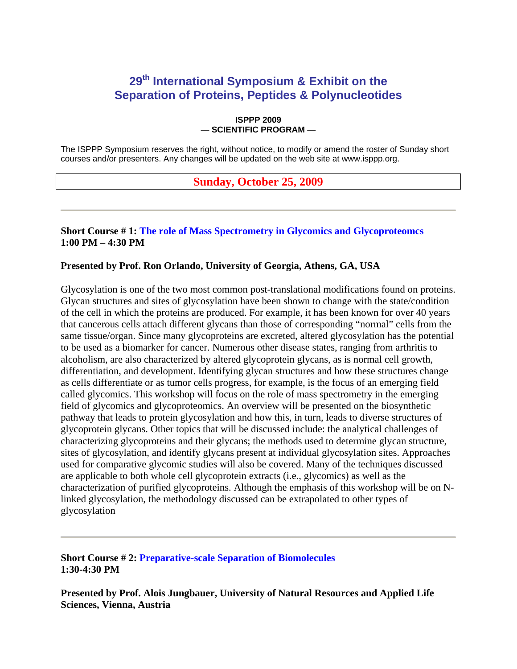## **29th International Symposium & Exhibit on the Separation of Proteins, Peptides & Polynucleotides**

#### **ISPPP 2009 — SCIENTIFIC PROGRAM —**

The ISPPP Symposium reserves the right, without notice, to modify or amend the roster of Sunday short courses and/or presenters. Any changes will be updated on the web site at www.isppp.org.

## **Sunday, October 25, 2009**

## **Short Course # 1: The role of Mass Spectrometry in Glycomics and Glycoproteomcs 1:00 PM – 4:30 PM**

### **Presented by Prof. Ron Orlando, University of Georgia, Athens, GA, USA**

Glycosylation is one of the two most common post-translational modifications found on proteins. Glycan structures and sites of glycosylation have been shown to change with the state/condition of the cell in which the proteins are produced. For example, it has been known for over 40 years that cancerous cells attach different glycans than those of corresponding "normal" cells from the same tissue/organ. Since many glycoproteins are excreted, altered glycosylation has the potential to be used as a biomarker for cancer. Numerous other disease states, ranging from arthritis to alcoholism, are also characterized by altered glycoprotein glycans, as is normal cell growth, differentiation, and development. Identifying glycan structures and how these structures change as cells differentiate or as tumor cells progress, for example, is the focus of an emerging field called glycomics. This workshop will focus on the role of mass spectrometry in the emerging field of glycomics and glycoproteomics. An overview will be presented on the biosynthetic pathway that leads to protein glycosylation and how this, in turn, leads to diverse structures of glycoprotein glycans. Other topics that will be discussed include: the analytical challenges of characterizing glycoproteins and their glycans; the methods used to determine glycan structure, sites of glycosylation, and identify glycans present at individual glycosylation sites. Approaches used for comparative glycomic studies will also be covered. Many of the techniques discussed are applicable to both whole cell glycoprotein extracts (i.e., glycomics) as well as the characterization of purified glycoproteins. Although the emphasis of this workshop will be on Nlinked glycosylation, the methodology discussed can be extrapolated to other types of glycosylation

**Short Course # 2: Preparative-scale Separation of Biomolecules 1:30-4:30 PM**

**Presented by Prof. Alois Jungbauer, University of Natural Resources and Applied Life Sciences, Vienna, Austria**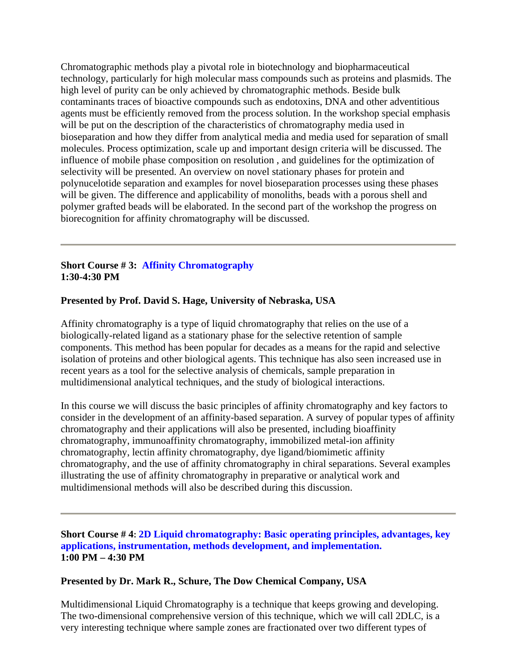Chromatographic methods play a pivotal role in biotechnology and biopharmaceutical technology, particularly for high molecular mass compounds such as proteins and plasmids. The high level of purity can be only achieved by chromatographic methods. Beside bulk contaminants traces of bioactive compounds such as endotoxins, DNA and other adventitious agents must be efficiently removed from the process solution. In the workshop special emphasis will be put on the description of the characteristics of chromatography media used in bioseparation and how they differ from analytical media and media used for separation of small molecules. Process optimization, scale up and important design criteria will be discussed. The influence of mobile phase composition on resolution , and guidelines for the optimization of selectivity will be presented. An overview on novel stationary phases for protein and polynucelotide separation and examples for novel bioseparation processes using these phases will be given. The difference and applicability of monoliths, beads with a porous shell and polymer grafted beads will be elaborated. In the second part of the workshop the progress on biorecognition for affinity chromatography will be discussed.

## **Short Course # 3: Affinity Chromatography 1:30-4:30 PM**

## **Presented by Prof. David S. Hage, University of Nebraska, USA**

Affinity chromatography is a type of liquid chromatography that relies on the use of a biologically-related ligand as a stationary phase for the selective retention of sample components. This method has been popular for decades as a means for the rapid and selective isolation of proteins and other biological agents. This technique has also seen increased use in recent years as a tool for the selective analysis of chemicals, sample preparation in multidimensional analytical techniques, and the study of biological interactions.

In this course we will discuss the basic principles of affinity chromatography and key factors to consider in the development of an affinity-based separation. A survey of popular types of affinity chromatography and their applications will also be presented, including bioaffinity chromatography, immunoaffinity chromatography, immobilized metal-ion affinity chromatography, lectin affinity chromatography, dye ligand/biomimetic affinity chromatography, and the use of affinity chromatography in chiral separations. Several examples illustrating the use of affinity chromatography in preparative or analytical work and multidimensional methods will also be described during this discussion.

**Short Course # 4: 2D Liquid chromatography: Basic operating principles, advantages, key applications, instrumentation, methods development, and implementation. 1:00 PM – 4:30 PM** 

## **Presented by Dr. Mark R., Schure, The Dow Chemical Company, USA**

Multidimensional Liquid Chromatography is a technique that keeps growing and developing. The two-dimensional comprehensive version of this technique, which we will call 2DLC, is a very interesting technique where sample zones are fractionated over two different types of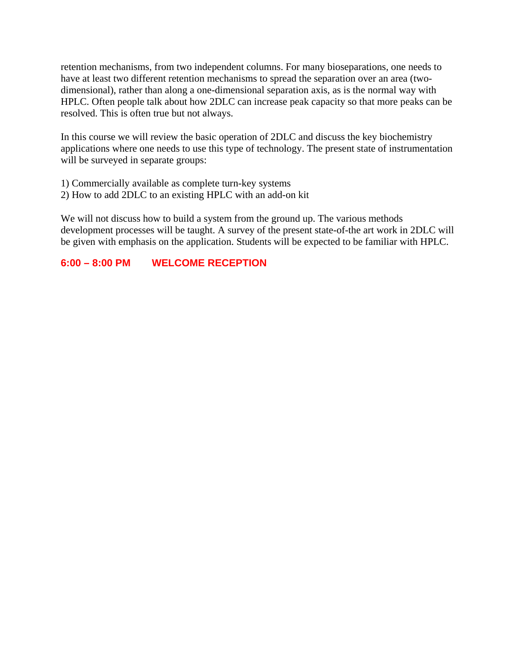retention mechanisms, from two independent columns. For many bioseparations, one needs to have at least two different retention mechanisms to spread the separation over an area (twodimensional), rather than along a one-dimensional separation axis, as is the normal way with HPLC. Often people talk about how 2DLC can increase peak capacity so that more peaks can be resolved. This is often true but not always.

In this course we will review the basic operation of 2DLC and discuss the key biochemistry applications where one needs to use this type of technology. The present state of instrumentation will be surveyed in separate groups:

- 1) Commercially available as complete turn-key systems
- 2) How to add 2DLC to an existing HPLC with an add-on kit

We will not discuss how to build a system from the ground up. The various methods development processes will be taught. A survey of the present state-of-the art work in 2DLC will be given with emphasis on the application. Students will be expected to be familiar with HPLC.

## **6:00 – 8:00 PM WELCOME RECEPTION**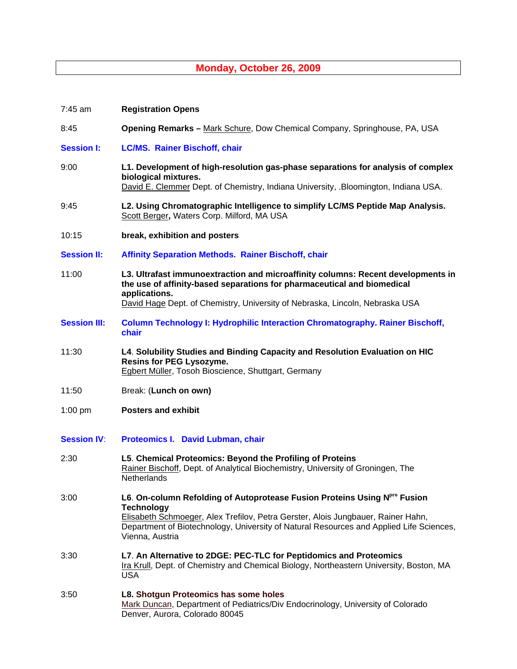## **Monday, October 26, 2009**

| 7:45 am             | <b>Registration Opens</b>                                                                                                                                                                                                                                                                                    |
|---------------------|--------------------------------------------------------------------------------------------------------------------------------------------------------------------------------------------------------------------------------------------------------------------------------------------------------------|
| 8:45                | <b>Opening Remarks - Mark Schure, Dow Chemical Company, Springhouse, PA, USA</b>                                                                                                                                                                                                                             |
| <b>Session I:</b>   | <b>LC/MS. Rainer Bischoff, chair</b>                                                                                                                                                                                                                                                                         |
| 9:00                | L1. Development of high-resolution gas-phase separations for analysis of complex<br>biological mixtures.<br>David E. Clemmer Dept. of Chemistry, Indiana University, .Bloomington, Indiana USA.                                                                                                              |
| 9:45                | L2. Using Chromatographic Intelligence to simplify LC/MS Peptide Map Analysis.<br>Scott Berger, Waters Corp. Milford, MA USA                                                                                                                                                                                 |
| 10:15               | break, exhibition and posters                                                                                                                                                                                                                                                                                |
| <b>Session II:</b>  | <b>Affinity Separation Methods. Rainer Bischoff, chair</b>                                                                                                                                                                                                                                                   |
| 11:00               | L3. Ultrafast immunoextraction and microaffinity columns: Recent developments in<br>the use of affinity-based separations for pharmaceutical and biomedical<br>applications.                                                                                                                                 |
|                     | David Hage Dept. of Chemistry, University of Nebraska, Lincoln, Nebraska USA                                                                                                                                                                                                                                 |
| <b>Session III:</b> | <b>Column Technology I: Hydrophilic Interaction Chromatography. Rainer Bischoff,</b><br>chair                                                                                                                                                                                                                |
| 11:30               | L4. Solubility Studies and Binding Capacity and Resolution Evaluation on HIC<br><b>Resins for PEG Lysozyme.</b><br>Egbert Müller, Tosoh Bioscience, Shuttgart, Germany                                                                                                                                       |
| 11:50               | Break: (Lunch on own)                                                                                                                                                                                                                                                                                        |
| $1:00$ pm           | <b>Posters and exhibit</b>                                                                                                                                                                                                                                                                                   |
| <b>Session IV:</b>  | Proteomics I. David Lubman, chair                                                                                                                                                                                                                                                                            |
| 2:30                | L5. Chemical Proteomics: Beyond the Profiling of Proteins<br>Rainer Bischoff, Dept. of Analytical Biochemistry, University of Groningen, The<br>Netherlands                                                                                                                                                  |
| 3:00                | L6. On-column Refolding of Autoprotease Fusion Proteins Using N <sup>pro</sup> Fusion<br><b>Technology</b><br>Elisabeth Schmoeger, Alex Trefilov, Petra Gerster, Alois Jungbauer, Rainer Hahn,<br>Department of Biotechnology, University of Natural Resources and Applied Life Sciences,<br>Vienna, Austria |
| 3:30                | L7. An Alternative to 2DGE: PEC-TLC for Peptidomics and Proteomics<br>Ira Krull, Dept. of Chemistry and Chemical Biology, Northeastern University, Boston, MA<br><b>USA</b>                                                                                                                                  |
| 3:50                | L8. Shotgun Proteomics has some holes<br>Mark Duncan, Department of Pediatrics/Div Endocrinology, University of Colorado<br>Denver, Aurora, Colorado 80045                                                                                                                                                   |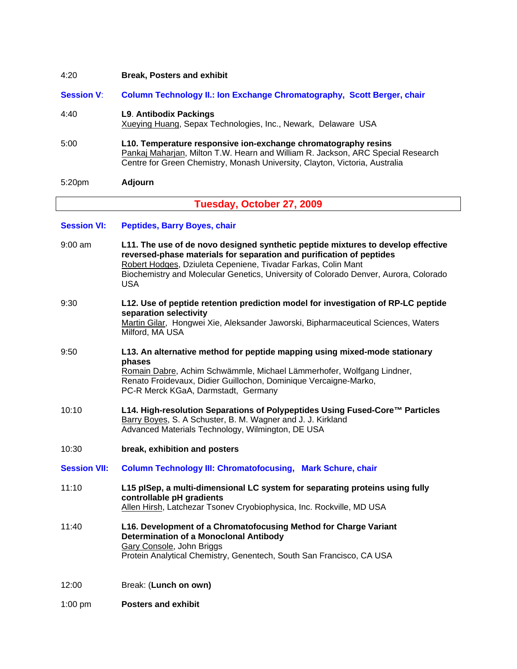# 4:20 **Break, Posters and exhibit Session V**: **Column Technology II.: Ion Exchange Chromatography, Scott Berger, chair**  4:40 **L9**. **Antibodix Packings**  Xueying Huang, Sepax Technologies, Inc., Newark, Delaware USA 5:00 **L10. Temperature responsive ion-exchange chromatography resins**  Pankaj Maharjan, Milton T.W. Hearn and William R. Jackson, ARC Special Research Centre for Green Chemistry, Monash University, Clayton, Victoria, Australia 5:20pm **Adjourn**

## **Tuesday, October 27, 2009**

### **Session VI: Peptides, Barry Boyes, chair**

| $9:00$ am           | L11. The use of de novo designed synthetic peptide mixtures to develop effective<br>reversed-phase materials for separation and purification of peptides<br>Robert Hodges, Dziuleta Cepeniene, Tivadar Farkas, Colin Mant<br>Biochemistry and Molecular Genetics, University of Colorado Denver, Aurora, Colorado<br><b>USA</b> |
|---------------------|---------------------------------------------------------------------------------------------------------------------------------------------------------------------------------------------------------------------------------------------------------------------------------------------------------------------------------|
| 9:30                | L12. Use of peptide retention prediction model for investigation of RP-LC peptide<br>separation selectivity<br>Martin Gilar, Hongwei Xie, Aleksander Jaworski, Bipharmaceutical Sciences, Waters<br>Milford, MA USA                                                                                                             |
| 9:50                | L13. An alternative method for peptide mapping using mixed-mode stationary<br>phases<br>Romain Dabre, Achim Schwämmle, Michael Lämmerhofer, Wolfgang Lindner,<br>Renato Froidevaux, Didier Guillochon, Dominique Vercaigne-Marko,<br>PC-R Merck KGaA, Darmstadt, Germany                                                        |
| 10:10               | L14. High-resolution Separations of Polypeptides Using Fused-Core™ Particles<br>Barry Boyes, S. A Schuster, B. M. Wagner and J. J. Kirkland<br>Advanced Materials Technology, Wilmington, DE USA                                                                                                                                |
| 10:30               | break, exhibition and posters                                                                                                                                                                                                                                                                                                   |
| <b>Session VII:</b> | <b>Column Technology III: Chromatofocusing, Mark Schure, chair</b>                                                                                                                                                                                                                                                              |
| 11:10               | L15 plSep, a multi-dimensional LC system for separating proteins using fully<br>controllable pH gradients<br>Allen Hirsh, Latchezar Tsonev Cryobiophysica, Inc. Rockville, MD USA                                                                                                                                               |
| 11:40               | L16. Development of a Chromatofocusing Method for Charge Variant<br><b>Determination of a Monoclonal Antibody</b><br>Gary Console, John Briggs<br>Protein Analytical Chemistry, Genentech, South San Francisco, CA USA                                                                                                          |
| 12:00               | Break: (Lunch on own)                                                                                                                                                                                                                                                                                                           |
| $1:00$ pm           | <b>Posters and exhibit</b>                                                                                                                                                                                                                                                                                                      |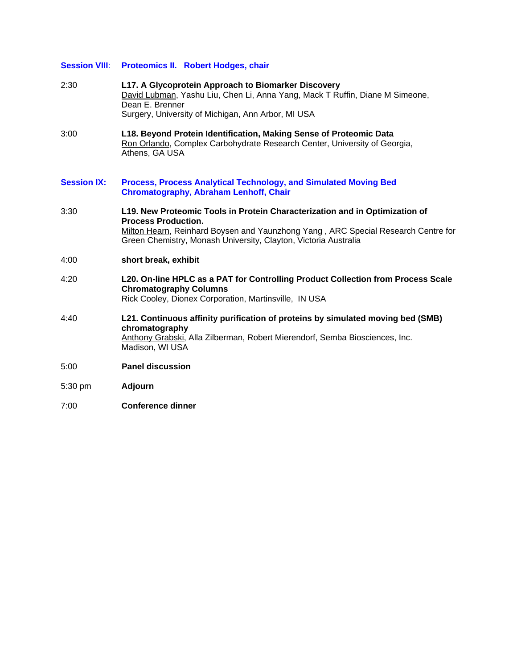#### **Session VIII**: **Proteomics II. Robert Hodges, chair**

- 2:30 **L17. A Glycoprotein Approach to Biomarker Discovery**  David Lubman, Yashu Liu, Chen Li, Anna Yang, Mack T Ruffin, Diane M Simeone, Dean E. Brenner Surgery, University of Michigan, Ann Arbor, MI USA
- 3:00 **L18. Beyond Protein Identification, Making Sense of Proteomic Data**  Ron Orlando, Complex Carbohydrate Research Center, University of Georgia, Athens, GA USA
- **Session IX: Process, Process Analytical Technology, and Simulated Moving Bed Chromatography, Abraham Lenhoff, Chair**
- 3:30 **L19. New Proteomic Tools in Protein Characterization and in Optimization of Process Production.** Milton Hearn, Reinhard Boysen and Yaunzhong Yang , ARC Special Research Centre for Green Chemistry, Monash University, Clayton, Victoria Australia
- 4:00 **short break, exhibit**
- 4:20 **L20. On-line HPLC as a PAT for Controlling Product Collection from Process Scale Chromatography Columns** Rick Cooley, Dionex Corporation, Martinsville, IN USA
- 4:40 **L21. Continuous affinity purification of proteins by simulated moving bed (SMB) chromatography**  Anthony Grabski, Alla Zilberman, Robert Mierendorf, Semba Biosciences, Inc. Madison, WI USA
- 5:00 **Panel discussion**
- 5:30 pm **Adjourn**
- 7:00 **Conference dinner**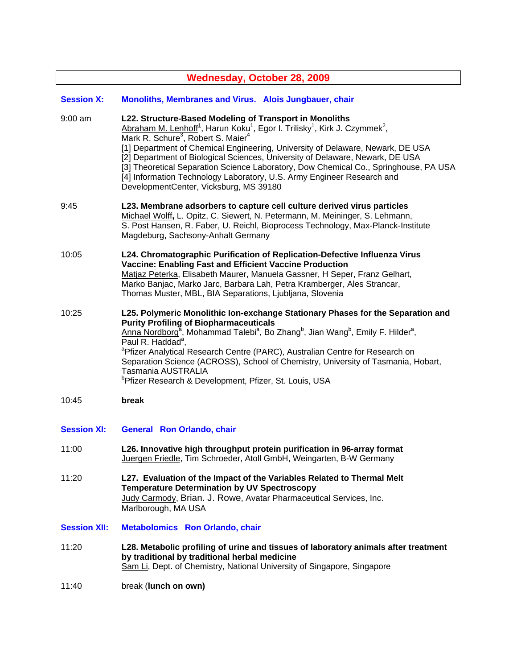| <b>Wednesday, October 28, 2009</b> |                                                                                                                                                                                                                                                                                                                                                                                                                                                                                                                                                                                                                                    |  |
|------------------------------------|------------------------------------------------------------------------------------------------------------------------------------------------------------------------------------------------------------------------------------------------------------------------------------------------------------------------------------------------------------------------------------------------------------------------------------------------------------------------------------------------------------------------------------------------------------------------------------------------------------------------------------|--|
| <b>Session X:</b>                  | Monoliths, Membranes and Virus. Alois Jungbauer, chair                                                                                                                                                                                                                                                                                                                                                                                                                                                                                                                                                                             |  |
| $9:00$ am                          | L22. Structure-Based Modeling of Transport in Monoliths<br>Abraham M. Lenhoff <sup>1</sup> , Harun Koku <sup>1</sup> , Egor I. Trilisky <sup>1</sup> , Kirk J. Czymmek <sup>2</sup> ,<br>Mark R. Schure <sup>3</sup> , Robert S. Maier <sup>4</sup><br>[1] Department of Chemical Engineering, University of Delaware, Newark, DE USA<br>[2] Department of Biological Sciences, University of Delaware, Newark, DE USA<br>[3] Theoretical Separation Science Laboratory, Dow Chemical Co., Springhouse, PA USA<br>[4] Information Technology Laboratory, U.S. Army Engineer Research and<br>DevelopmentCenter, Vicksburg, MS 39180 |  |
| 9:45                               | L23. Membrane adsorbers to capture cell culture derived virus particles<br>Michael Wolff, L. Opitz, C. Siewert, N. Petermann, M. Meininger, S. Lehmann,<br>S. Post Hansen, R. Faber, U. Reichl, Bioprocess Technology, Max-Planck-Institute<br>Magdeburg, Sachsony-Anhalt Germany                                                                                                                                                                                                                                                                                                                                                  |  |
| 10:05                              | L24. Chromatographic Purification of Replication-Defective Influenza Virus<br><b>Vaccine: Enabling Fast and Efficient Vaccine Production</b><br>Matjaz Peterka, Elisabeth Maurer, Manuela Gassner, H Seper, Franz Gelhart,<br>Marko Banjac, Marko Jarc, Barbara Lah, Petra Kramberger, Ales Strancar,<br>Thomas Muster, MBL, BIA Separations, Ljubljana, Slovenia                                                                                                                                                                                                                                                                  |  |
| 10:25                              | L25. Polymeric Monolithic lon-exchange Stationary Phases for the Separation and<br><b>Purity Profiling of Biopharmaceuticals</b><br>Anna Nordborg <sup>a</sup> , Mohammad Talebi <sup>a</sup> , Bo Zhang <sup>b</sup> , Jian Wang <sup>b</sup> , Emily F. Hilder <sup>a</sup> ,<br>Paul R. Haddad <sup>a</sup> ,<br><sup>a</sup> Pfizer Analytical Research Centre (PARC), Australian Centre for Research on<br>Separation Science (ACROSS), School of Chemistry, University of Tasmania, Hobart,<br>Tasmania AUSTRALIA<br><sup>b</sup> Pfizer Research & Development, Pfizer, St. Louis, USA                                      |  |
| 10:45                              | break                                                                                                                                                                                                                                                                                                                                                                                                                                                                                                                                                                                                                              |  |

- **Session XI: General Ron Orlando, chair**
- 11:00 **L26. Innovative high throughput protein purification in 96-array format** Juergen Friedle, Tim Schroeder, Atoll GmbH, Weingarten, B-W Germany
- 11:20 **L27. Evaluation of the Impact of the Variables Related to Thermal Melt Temperature Determination by UV Spectroscopy**  Judy Carmody, Brian. J. Rowe, Avatar Pharmaceutical Services, Inc. Marlborough, MA USA
- **Session XII: Metabolomics Ron Orlando, chair**
- 11:20 **L28. Metabolic profiling of urine and tissues of laboratory animals after treatment by traditional by traditional herbal medicine** Sam Li, Dept. of Chemistry, National University of Singapore, Singapore
- 11:40 break (**lunch on own)**